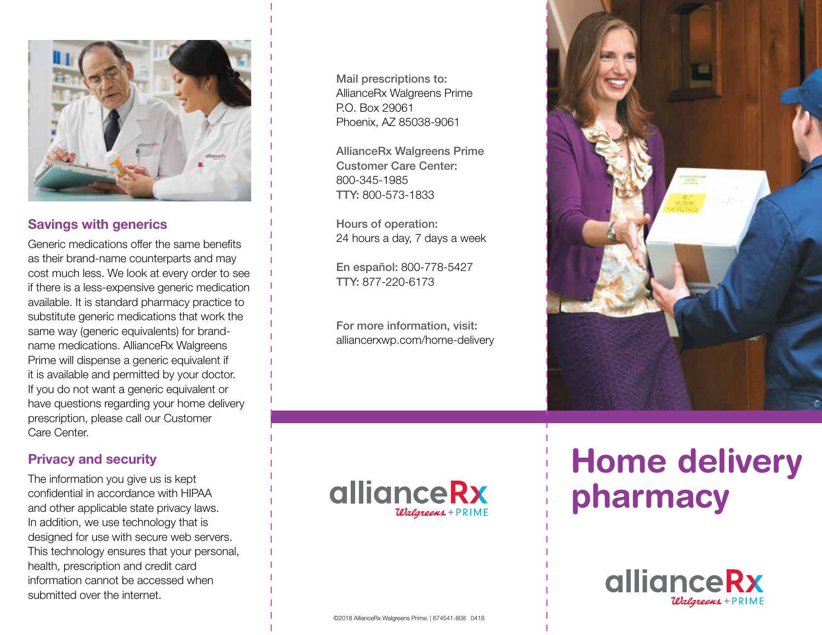

## Savings with generics

Generic medications offer the same benefits as their brand-name counterparts and may cost much less. We look at every order to see if there is a less-expensive generic medication available. It is standard pharmacy practice to substitute generic medications that work the same way (generic equivalents) for brandname medications. AllianceRx Walgreens Prime will dispense a generic equivalent if it is available and permitted by your doctor. If you do not want a generic equivalent or have questions regarding your home delivery prescription, please call our Customer Care Center.

## Privacy and security

The information you give us is kept confidential in accordance with HIPAA and other applicable state privacy laws. In addition, we use technology that is designed for use with secure web servers. This technology ensures that your personal, health, prescription and credit card information cannot be accessed when submitted over the internet.

Mail prescriptions to: AllianceRx Walgreens Prime P.O. Box 29061 Phoenix, AZ 85038-9061

AllianceRx Walgreens Prime Customer Care Center: 800-345-1985 TTY: 800-573-1833

Hours of operation: 24 hours a day, 7 days a week

En español: 800-778-5427 TTY: 877-220-6173

For more information, visit: alliancerxwp.com/home-delivery





# Home delivery pharmacy